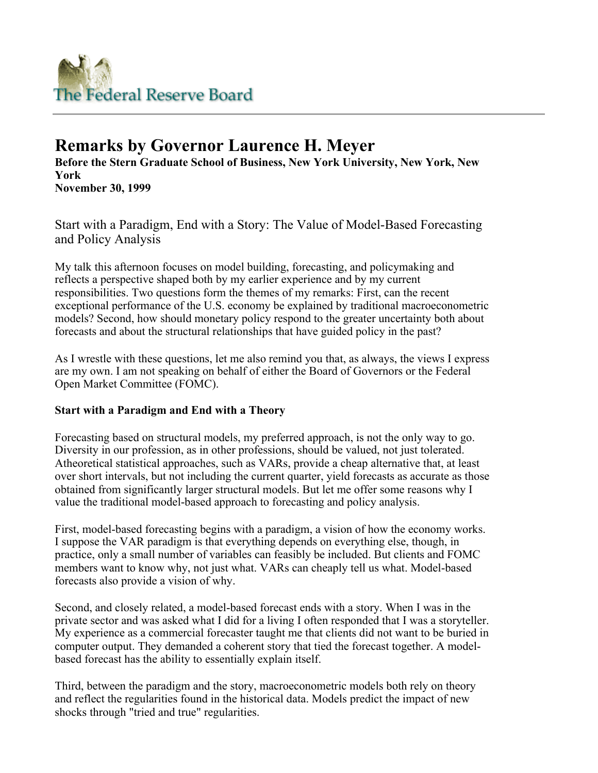

# **Remarks by Governor Laurence H. Meyer**

**Before the Stern Graduate School of Business, New York University, New York, New York November 30, 1999** 

Start with a Paradigm, End with a Story: The Value of Model-Based Forecasting and Policy Analysis

My talk this afternoon focuses on model building, forecasting, and policymaking and reflects a perspective shaped both by my earlier experience and by my current responsibilities. Two questions form the themes of my remarks: First, can the recent exceptional performance of the U.S. economy be explained by traditional macroeconometric models? Second, how should monetary policy respond to the greater uncertainty both about forecasts and about the structural relationships that have guided policy in the past?

As I wrestle with these questions, let me also remind you that, as always, the views I express are my own. I am not speaking on behalf of either the Board of Governors or the Federal Open Market Committee (FOMC).

## **Start with a Paradigm and End with a Theory**

Forecasting based on structural models, my preferred approach, is not the only way to go. Diversity in our profession, as in other professions, should be valued, not just tolerated. Atheoretical statistical approaches, such as VARs, provide a cheap alternative that, at least over short intervals, but not including the current quarter, yield forecasts as accurate as those obtained from significantly larger structural models. But let me offer some reasons why I value the traditional model-based approach to forecasting and policy analysis.

First, model-based forecasting begins with a paradigm, a vision of how the economy works. I suppose the VAR paradigm is that everything depends on everything else, though, in practice, only a small number of variables can feasibly be included. But clients and FOMC members want to know why, not just what. VARs can cheaply tell us what. Model-based forecasts also provide a vision of why.

Second, and closely related, a model-based forecast ends with a story. When I was in the private sector and was asked what I did for a living I often responded that I was a storyteller. My experience as a commercial forecaster taught me that clients did not want to be buried in computer output. They demanded a coherent story that tied the forecast together. A modelbased forecast has the ability to essentially explain itself.

Third, between the paradigm and the story, macroeconometric models both rely on theory and reflect the regularities found in the historical data. Models predict the impact of new shocks through "tried and true" regularities.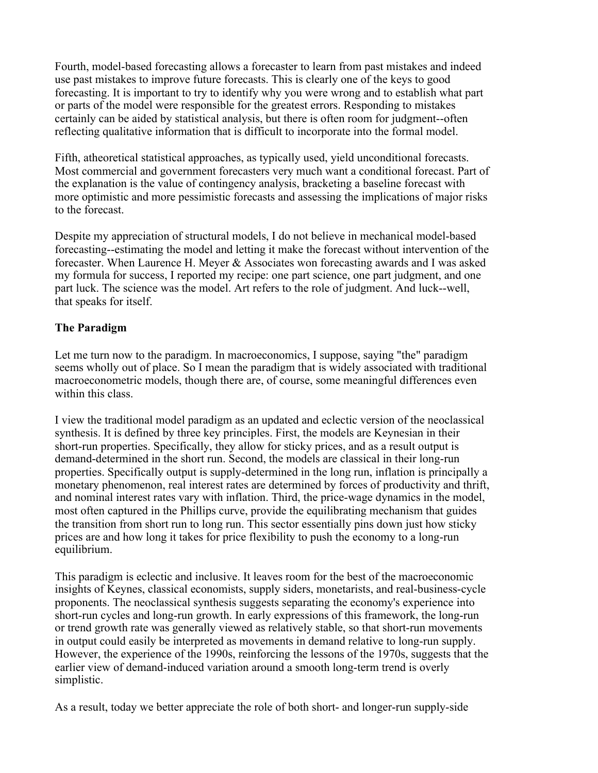Fourth, model-based forecasting allows a forecaster to learn from past mistakes and indeed use past mistakes to improve future forecasts. This is clearly one of the keys to good forecasting. It is important to try to identify why you were wrong and to establish what part or parts of the model were responsible for the greatest errors. Responding to mistakes certainly can be aided by statistical analysis, but there is often room for judgment--often reflecting qualitative information that is difficult to incorporate into the formal model.

Fifth, atheoretical statistical approaches, as typically used, yield unconditional forecasts. Most commercial and government forecasters very much want a conditional forecast. Part of the explanation is the value of contingency analysis, bracketing a baseline forecast with more optimistic and more pessimistic forecasts and assessing the implications of major risks to the forecast.

Despite my appreciation of structural models, I do not believe in mechanical model-based forecasting--estimating the model and letting it make the forecast without intervention of the forecaster. When Laurence H. Meyer & Associates won forecasting awards and I was asked my formula for success, I reported my recipe: one part science, one part judgment, and one part luck. The science was the model. Art refers to the role of judgment. And luck--well, that speaks for itself.

## **The Paradigm**

Let me turn now to the paradigm. In macroeconomics, I suppose, saying "the" paradigm seems wholly out of place. So I mean the paradigm that is widely associated with traditional macroeconometric models, though there are, of course, some meaningful differences even within this class.

I view the traditional model paradigm as an updated and eclectic version of the neoclassical synthesis. It is defined by three key principles. First, the models are Keynesian in their short-run properties. Specifically, they allow for sticky prices, and as a result output is demand-determined in the short run. Second, the models are classical in their long-run properties. Specifically output is supply-determined in the long run, inflation is principally a monetary phenomenon, real interest rates are determined by forces of productivity and thrift, and nominal interest rates vary with inflation. Third, the price-wage dynamics in the model, most often captured in the Phillips curve, provide the equilibrating mechanism that guides the transition from short run to long run. This sector essentially pins down just how sticky prices are and how long it takes for price flexibility to push the economy to a long-run equilibrium.

This paradigm is eclectic and inclusive. It leaves room for the best of the macroeconomic insights of Keynes, classical economists, supply siders, monetarists, and real-business-cycle proponents. The neoclassical synthesis suggests separating the economy's experience into short-run cycles and long-run growth. In early expressions of this framework, the long-run or trend growth rate was generally viewed as relatively stable, so that short-run movements in output could easily be interpreted as movements in demand relative to long-run supply. However, the experience of the 1990s, reinforcing the lessons of the 1970s, suggests that the earlier view of demand-induced variation around a smooth long-term trend is overly simplistic.

As a result, today we better appreciate the role of both short- and longer-run supply-side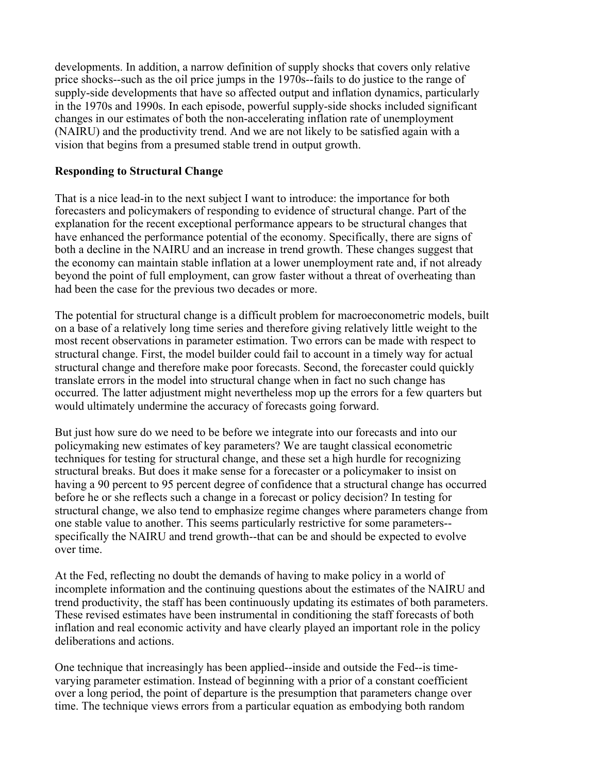developments. In addition, a narrow definition of supply shocks that covers only relative price shocks--such as the oil price jumps in the 1970s--fails to do justice to the range of supply-side developments that have so affected output and inflation dynamics, particularly in the 1970s and 1990s. In each episode, powerful supply-side shocks included significant changes in our estimates of both the non-accelerating inflation rate of unemployment (NAIRU) and the productivity trend. And we are not likely to be satisfied again with a vision that begins from a presumed stable trend in output growth.

## **Responding to Structural Change**

That is a nice lead-in to the next subject I want to introduce: the importance for both forecasters and policymakers of responding to evidence of structural change. Part of the explanation for the recent exceptional performance appears to be structural changes that have enhanced the performance potential of the economy. Specifically, there are signs of both a decline in the NAIRU and an increase in trend growth. These changes suggest that the economy can maintain stable inflation at a lower unemployment rate and, if not already beyond the point of full employment, can grow faster without a threat of overheating than had been the case for the previous two decades or more.

The potential for structural change is a difficult problem for macroeconometric models, built on a base of a relatively long time series and therefore giving relatively little weight to the most recent observations in parameter estimation. Two errors can be made with respect to structural change. First, the model builder could fail to account in a timely way for actual structural change and therefore make poor forecasts. Second, the forecaster could quickly translate errors in the model into structural change when in fact no such change has occurred. The latter adjustment might nevertheless mop up the errors for a few quarters but would ultimately undermine the accuracy of forecasts going forward.

But just how sure do we need to be before we integrate into our forecasts and into our policymaking new estimates of key parameters? We are taught classical econometric techniques for testing for structural change, and these set a high hurdle for recognizing structural breaks. But does it make sense for a forecaster or a policymaker to insist on having a 90 percent to 95 percent degree of confidence that a structural change has occurred before he or she reflects such a change in a forecast or policy decision? In testing for structural change, we also tend to emphasize regime changes where parameters change from one stable value to another. This seems particularly restrictive for some parameters- specifically the NAIRU and trend growth--that can be and should be expected to evolve over time.

At the Fed, reflecting no doubt the demands of having to make policy in a world of incomplete information and the continuing questions about the estimates of the NAIRU and trend productivity, the staff has been continuously updating its estimates of both parameters. These revised estimates have been instrumental in conditioning the staff forecasts of both inflation and real economic activity and have clearly played an important role in the policy deliberations and actions.

One technique that increasingly has been applied--inside and outside the Fed--is timevarying parameter estimation. Instead of beginning with a prior of a constant coefficient over a long period, the point of departure is the presumption that parameters change over time. The technique views errors from a particular equation as embodying both random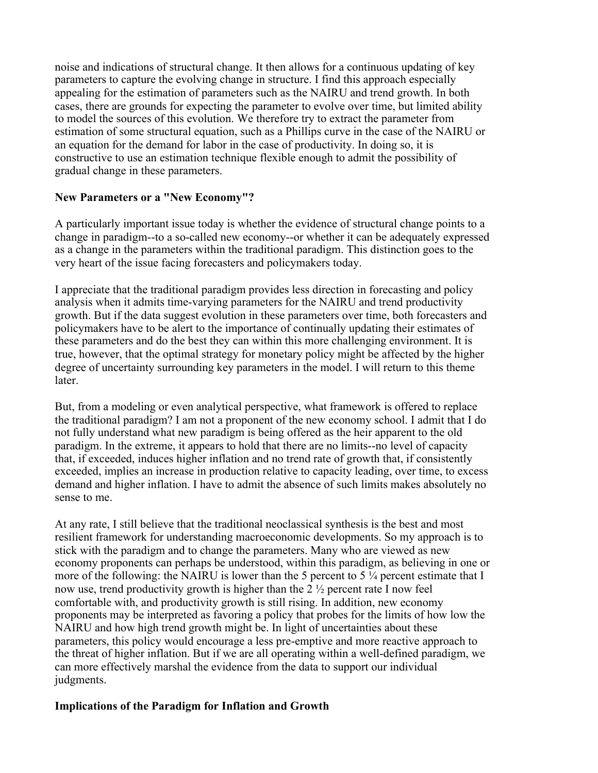noise and indications of structural change. It then allows for a continuous updating of key parameters to capture the evolving change in structure. I find this approach especially appealing for the estimation of parameters such as the NAIRU and trend growth. In both cases, there are grounds for expecting the parameter to evolve over time, but limited ability to model the sources of this evolution. We therefore try to extract the parameter from estimation of some structural equation, such as a Phillips curve in the case of the NAIRU or an equation for the demand for labor in the case of productivity. In doing so, it is constructive to use an estimation technique flexible enough to admit the possibility of gradual change in these parameters.

## **New Parameters or a "New Economy"?**

A particularly important issue today is whether the evidence of structural change points to a change in paradigm--to a so-called new economy--or whether it can be adequately expressed as a change in the parameters within the traditional paradigm. This distinction goes to the very heart of the issue facing forecasters and policymakers today.

I appreciate that the traditional paradigm provides less direction in forecasting and policy analysis when it admits time-varying parameters for the NAIRU and trend productivity growth. But if the data suggest evolution in these parameters over time, both forecasters and policymakers have to be alert to the importance of continually updating their estimates of these parameters and do the best they can within this more challenging environment. It is true, however, that the optimal strategy for monetary policy might be affected by the higher degree of uncertainty surrounding key parameters in the model. I will return to this theme later.

But, from a modeling or even analytical perspective, what framework is offered to replace the traditional paradigm? I am not a proponent of the new economy school. I admit that I do not fully understand what new paradigm is being offered as the heir apparent to the old paradigm. In the extreme, it appears to hold that there are no limits--no level of capacity that, if exceeded, induces higher inflation and no trend rate of growth that, if consistently exceeded, implies an increase in production relative to capacity leading, over time, to excess demand and higher inflation. I have to admit the absence of such limits makes absolutely no sense to me.

At any rate, I still believe that the traditional neoclassical synthesis is the best and most resilient framework for understanding macroeconomic developments. So my approach is to stick with the paradigm and to change the parameters. Many who are viewed as new economy proponents can perhaps be understood, within this paradigm, as believing in one or more of the following: the NAIRU is lower than the 5 percent to 5  $\frac{1}{4}$  percent estimate that I now use, trend productivity growth is higher than the 2 ½ percent rate I now feel comfortable with, and productivity growth is still rising. In addition, new economy proponents may be interpreted as favoring a policy that probes for the limits of how low the NAIRU and how high trend growth might be. In light of uncertainties about these parameters, this policy would encourage a less pre-emptive and more reactive approach to the threat of higher inflation. But if we are all operating within a well-defined paradigm, we can more effectively marshal the evidence from the data to support our individual judgments.

## **Implications of the Paradigm for Inflation and Growth**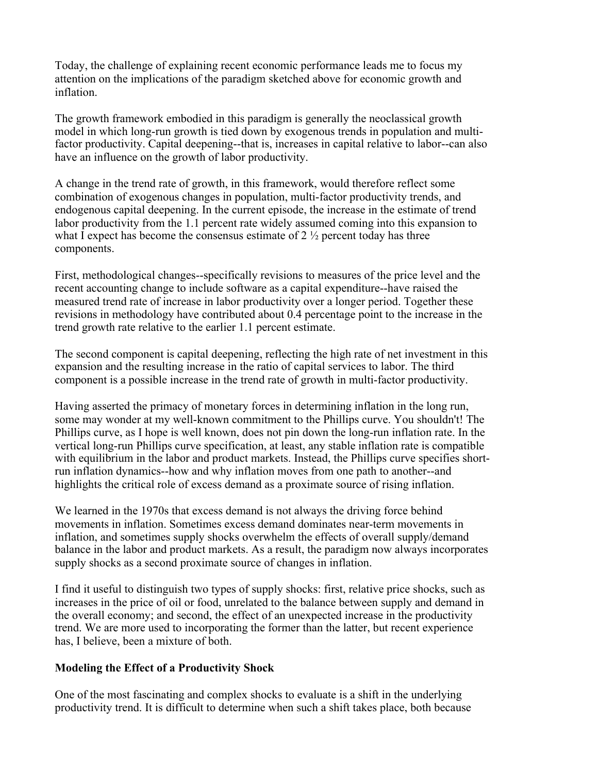Today, the challenge of explaining recent economic performance leads me to focus my attention on the implications of the paradigm sketched above for economic growth and inflation.

The growth framework embodied in this paradigm is generally the neoclassical growth model in which long-run growth is tied down by exogenous trends in population and multifactor productivity. Capital deepening--that is, increases in capital relative to labor--can also have an influence on the growth of labor productivity.

A change in the trend rate of growth, in this framework, would therefore reflect some combination of exogenous changes in population, multi-factor productivity trends, and endogenous capital deepening. In the current episode, the increase in the estimate of trend labor productivity from the 1.1 percent rate widely assumed coming into this expansion to what I expect has become the consensus estimate of  $2\frac{1}{2}$  percent today has three components.

First, methodological changes--specifically revisions to measures of the price level and the recent accounting change to include software as a capital expenditure--have raised the measured trend rate of increase in labor productivity over a longer period. Together these revisions in methodology have contributed about 0.4 percentage point to the increase in the trend growth rate relative to the earlier 1.1 percent estimate.

The second component is capital deepening, reflecting the high rate of net investment in this expansion and the resulting increase in the ratio of capital services to labor. The third component is a possible increase in the trend rate of growth in multi-factor productivity.

Having asserted the primacy of monetary forces in determining inflation in the long run, some may wonder at my well-known commitment to the Phillips curve. You shouldn't! The Phillips curve, as I hope is well known, does not pin down the long-run inflation rate. In the vertical long-run Phillips curve specification, at least, any stable inflation rate is compatible with equilibrium in the labor and product markets. Instead, the Phillips curve specifies shortrun inflation dynamics--how and why inflation moves from one path to another--and highlights the critical role of excess demand as a proximate source of rising inflation.

We learned in the 1970s that excess demand is not always the driving force behind movements in inflation. Sometimes excess demand dominates near-term movements in inflation, and sometimes supply shocks overwhelm the effects of overall supply/demand balance in the labor and product markets. As a result, the paradigm now always incorporates supply shocks as a second proximate source of changes in inflation.

I find it useful to distinguish two types of supply shocks: first, relative price shocks, such as increases in the price of oil or food, unrelated to the balance between supply and demand in the overall economy; and second, the effect of an unexpected increase in the productivity trend. We are more used to incorporating the former than the latter, but recent experience has, I believe, been a mixture of both.

#### **Modeling the Effect of a Productivity Shock**

One of the most fascinating and complex shocks to evaluate is a shift in the underlying productivity trend. It is difficult to determine when such a shift takes place, both because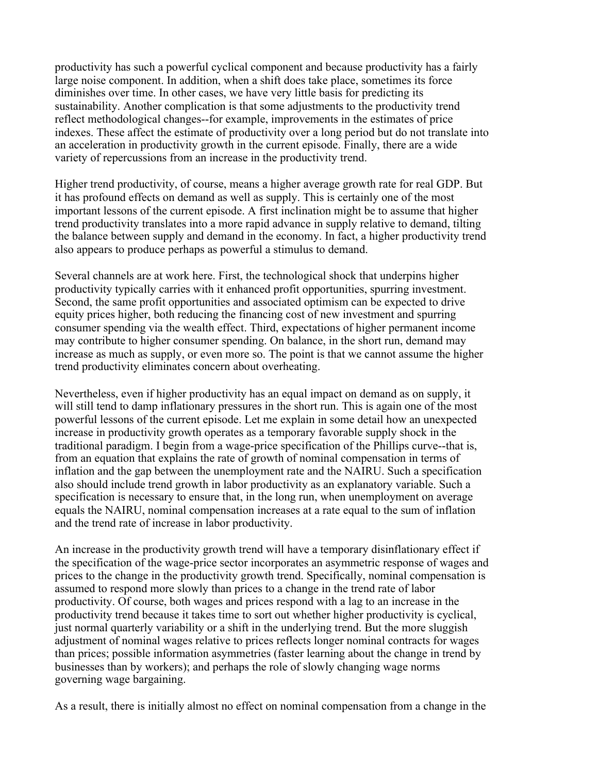productivity has such a powerful cyclical component and because productivity has a fairly large noise component. In addition, when a shift does take place, sometimes its force diminishes over time. In other cases, we have very little basis for predicting its sustainability. Another complication is that some adjustments to the productivity trend reflect methodological changes--for example, improvements in the estimates of price indexes. These affect the estimate of productivity over a long period but do not translate into an acceleration in productivity growth in the current episode. Finally, there are a wide variety of repercussions from an increase in the productivity trend.

Higher trend productivity, of course, means a higher average growth rate for real GDP. But it has profound effects on demand as well as supply. This is certainly one of the most important lessons of the current episode. A first inclination might be to assume that higher trend productivity translates into a more rapid advance in supply relative to demand, tilting the balance between supply and demand in the economy. In fact, a higher productivity trend also appears to produce perhaps as powerful a stimulus to demand.

Several channels are at work here. First, the technological shock that underpins higher productivity typically carries with it enhanced profit opportunities, spurring investment. Second, the same profit opportunities and associated optimism can be expected to drive equity prices higher, both reducing the financing cost of new investment and spurring consumer spending via the wealth effect. Third, expectations of higher permanent income may contribute to higher consumer spending. On balance, in the short run, demand may increase as much as supply, or even more so. The point is that we cannot assume the higher trend productivity eliminates concern about overheating.

Nevertheless, even if higher productivity has an equal impact on demand as on supply, it will still tend to damp inflationary pressures in the short run. This is again one of the most powerful lessons of the current episode. Let me explain in some detail how an unexpected increase in productivity growth operates as a temporary favorable supply shock in the traditional paradigm. I begin from a wage-price specification of the Phillips curve--that is, from an equation that explains the rate of growth of nominal compensation in terms of inflation and the gap between the unemployment rate and the NAIRU. Such a specification also should include trend growth in labor productivity as an explanatory variable. Such a specification is necessary to ensure that, in the long run, when unemployment on average equals the NAIRU, nominal compensation increases at a rate equal to the sum of inflation and the trend rate of increase in labor productivity.

An increase in the productivity growth trend will have a temporary disinflationary effect if the specification of the wage-price sector incorporates an asymmetric response of wages and prices to the change in the productivity growth trend. Specifically, nominal compensation is assumed to respond more slowly than prices to a change in the trend rate of labor productivity. Of course, both wages and prices respond with a lag to an increase in the productivity trend because it takes time to sort out whether higher productivity is cyclical, just normal quarterly variability or a shift in the underlying trend. But the more sluggish adjustment of nominal wages relative to prices reflects longer nominal contracts for wages than prices; possible information asymmetries (faster learning about the change in trend by businesses than by workers); and perhaps the role of slowly changing wage norms governing wage bargaining.

As a result, there is initially almost no effect on nominal compensation from a change in the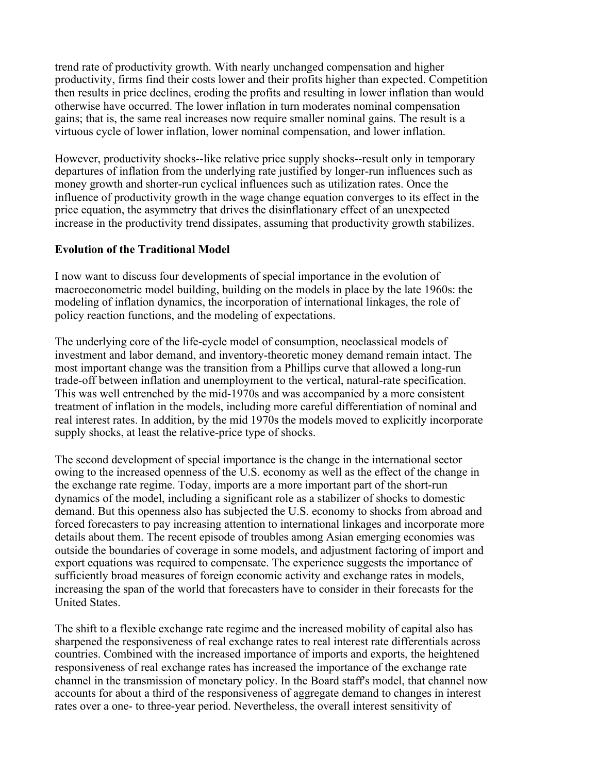trend rate of productivity growth. With nearly unchanged compensation and higher productivity, firms find their costs lower and their profits higher than expected. Competition then results in price declines, eroding the profits and resulting in lower inflation than would otherwise have occurred. The lower inflation in turn moderates nominal compensation gains; that is, the same real increases now require smaller nominal gains. The result is a virtuous cycle of lower inflation, lower nominal compensation, and lower inflation.

However, productivity shocks--like relative price supply shocks--result only in temporary departures of inflation from the underlying rate justified by longer-run influences such as money growth and shorter-run cyclical influences such as utilization rates. Once the influence of productivity growth in the wage change equation converges to its effect in the price equation, the asymmetry that drives the disinflationary effect of an unexpected increase in the productivity trend dissipates, assuming that productivity growth stabilizes.

## **Evolution of the Traditional Model**

I now want to discuss four developments of special importance in the evolution of macroeconometric model building, building on the models in place by the late 1960s: the modeling of inflation dynamics, the incorporation of international linkages, the role of policy reaction functions, and the modeling of expectations.

The underlying core of the life-cycle model of consumption, neoclassical models of investment and labor demand, and inventory-theoretic money demand remain intact. The most important change was the transition from a Phillips curve that allowed a long-run trade-off between inflation and unemployment to the vertical, natural-rate specification. This was well entrenched by the mid-1970s and was accompanied by a more consistent treatment of inflation in the models, including more careful differentiation of nominal and real interest rates. In addition, by the mid 1970s the models moved to explicitly incorporate supply shocks, at least the relative-price type of shocks.

The second development of special importance is the change in the international sector owing to the increased openness of the U.S. economy as well as the effect of the change in the exchange rate regime. Today, imports are a more important part of the short-run dynamics of the model, including a significant role as a stabilizer of shocks to domestic demand. But this openness also has subjected the U.S. economy to shocks from abroad and forced forecasters to pay increasing attention to international linkages and incorporate more details about them. The recent episode of troubles among Asian emerging economies was outside the boundaries of coverage in some models, and adjustment factoring of import and export equations was required to compensate. The experience suggests the importance of sufficiently broad measures of foreign economic activity and exchange rates in models, increasing the span of the world that forecasters have to consider in their forecasts for the United States.

The shift to a flexible exchange rate regime and the increased mobility of capital also has sharpened the responsiveness of real exchange rates to real interest rate differentials across countries. Combined with the increased importance of imports and exports, the heightened responsiveness of real exchange rates has increased the importance of the exchange rate channel in the transmission of monetary policy. In the Board staff's model, that channel now accounts for about a third of the responsiveness of aggregate demand to changes in interest rates over a one- to three-year period. Nevertheless, the overall interest sensitivity of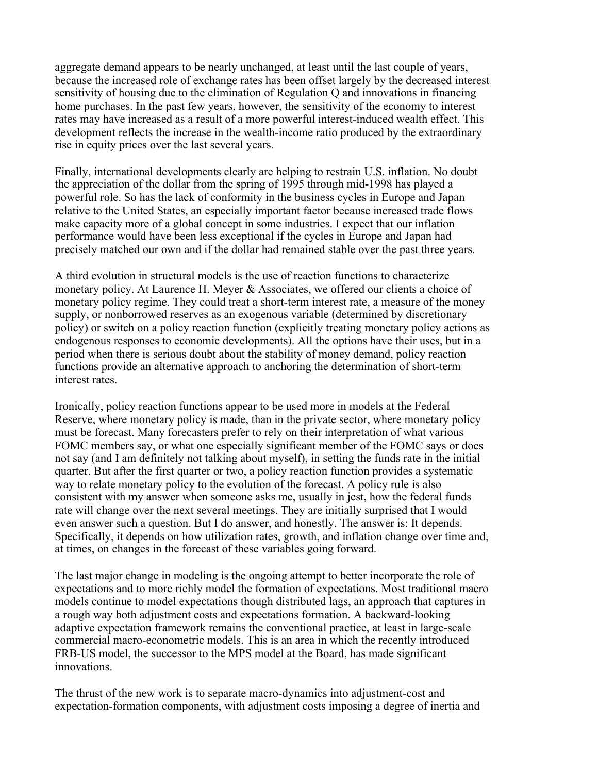aggregate demand appears to be nearly unchanged, at least until the last couple of years, because the increased role of exchange rates has been offset largely by the decreased interest sensitivity of housing due to the elimination of Regulation Q and innovations in financing home purchases. In the past few years, however, the sensitivity of the economy to interest rates may have increased as a result of a more powerful interest-induced wealth effect. This development reflects the increase in the wealth-income ratio produced by the extraordinary rise in equity prices over the last several years.

Finally, international developments clearly are helping to restrain U.S. inflation. No doubt the appreciation of the dollar from the spring of 1995 through mid-1998 has played a powerful role. So has the lack of conformity in the business cycles in Europe and Japan relative to the United States, an especially important factor because increased trade flows make capacity more of a global concept in some industries. I expect that our inflation performance would have been less exceptional if the cycles in Europe and Japan had precisely matched our own and if the dollar had remained stable over the past three years.

A third evolution in structural models is the use of reaction functions to characterize monetary policy. At Laurence H. Meyer & Associates, we offered our clients a choice of monetary policy regime. They could treat a short-term interest rate, a measure of the money supply, or nonborrowed reserves as an exogenous variable (determined by discretionary policy) or switch on a policy reaction function (explicitly treating monetary policy actions as endogenous responses to economic developments). All the options have their uses, but in a period when there is serious doubt about the stability of money demand, policy reaction functions provide an alternative approach to anchoring the determination of short-term interest rates.

Ironically, policy reaction functions appear to be used more in models at the Federal Reserve, where monetary policy is made, than in the private sector, where monetary policy must be forecast. Many forecasters prefer to rely on their interpretation of what various FOMC members say, or what one especially significant member of the FOMC says or does not say (and I am definitely not talking about myself), in setting the funds rate in the initial quarter. But after the first quarter or two, a policy reaction function provides a systematic way to relate monetary policy to the evolution of the forecast. A policy rule is also consistent with my answer when someone asks me, usually in jest, how the federal funds rate will change over the next several meetings. They are initially surprised that I would even answer such a question. But I do answer, and honestly. The answer is: It depends. Specifically, it depends on how utilization rates, growth, and inflation change over time and, at times, on changes in the forecast of these variables going forward.

The last major change in modeling is the ongoing attempt to better incorporate the role of expectations and to more richly model the formation of expectations. Most traditional macro models continue to model expectations though distributed lags, an approach that captures in a rough way both adjustment costs and expectations formation. A backward-looking adaptive expectation framework remains the conventional practice, at least in large-scale commercial macro-econometric models. This is an area in which the recently introduced FRB-US model, the successor to the MPS model at the Board, has made significant innovations.

The thrust of the new work is to separate macro-dynamics into adjustment-cost and expectation-formation components, with adjustment costs imposing a degree of inertia and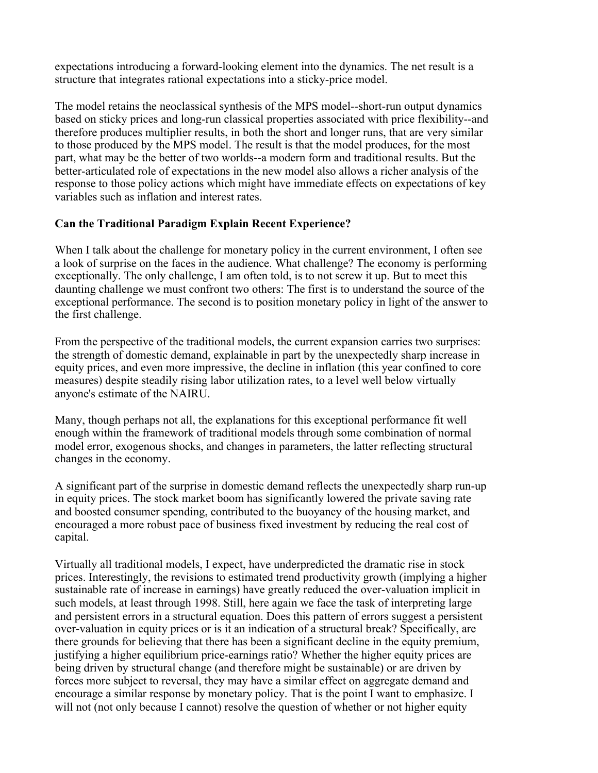expectations introducing a forward-looking element into the dynamics. The net result is a structure that integrates rational expectations into a sticky-price model.

The model retains the neoclassical synthesis of the MPS model--short-run output dynamics based on sticky prices and long-run classical properties associated with price flexibility--and therefore produces multiplier results, in both the short and longer runs, that are very similar to those produced by the MPS model. The result is that the model produces, for the most part, what may be the better of two worlds--a modern form and traditional results. But the better-articulated role of expectations in the new model also allows a richer analysis of the response to those policy actions which might have immediate effects on expectations of key variables such as inflation and interest rates.

## **Can the Traditional Paradigm Explain Recent Experience?**

When I talk about the challenge for monetary policy in the current environment, I often see a look of surprise on the faces in the audience. What challenge? The economy is performing exceptionally. The only challenge, I am often told, is to not screw it up. But to meet this daunting challenge we must confront two others: The first is to understand the source of the exceptional performance. The second is to position monetary policy in light of the answer to the first challenge.

From the perspective of the traditional models, the current expansion carries two surprises: the strength of domestic demand, explainable in part by the unexpectedly sharp increase in equity prices, and even more impressive, the decline in inflation (this year confined to core measures) despite steadily rising labor utilization rates, to a level well below virtually anyone's estimate of the NAIRU.

Many, though perhaps not all, the explanations for this exceptional performance fit well enough within the framework of traditional models through some combination of normal model error, exogenous shocks, and changes in parameters, the latter reflecting structural changes in the economy.

A significant part of the surprise in domestic demand reflects the unexpectedly sharp run-up in equity prices. The stock market boom has significantly lowered the private saving rate and boosted consumer spending, contributed to the buoyancy of the housing market, and encouraged a more robust pace of business fixed investment by reducing the real cost of capital.

Virtually all traditional models, I expect, have underpredicted the dramatic rise in stock prices. Interestingly, the revisions to estimated trend productivity growth (implying a higher sustainable rate of increase in earnings) have greatly reduced the over-valuation implicit in such models, at least through 1998. Still, here again we face the task of interpreting large and persistent errors in a structural equation. Does this pattern of errors suggest a persistent over-valuation in equity prices or is it an indication of a structural break? Specifically, are there grounds for believing that there has been a significant decline in the equity premium, justifying a higher equilibrium price-earnings ratio? Whether the higher equity prices are being driven by structural change (and therefore might be sustainable) or are driven by forces more subject to reversal, they may have a similar effect on aggregate demand and encourage a similar response by monetary policy. That is the point I want to emphasize. I will not (not only because I cannot) resolve the question of whether or not higher equity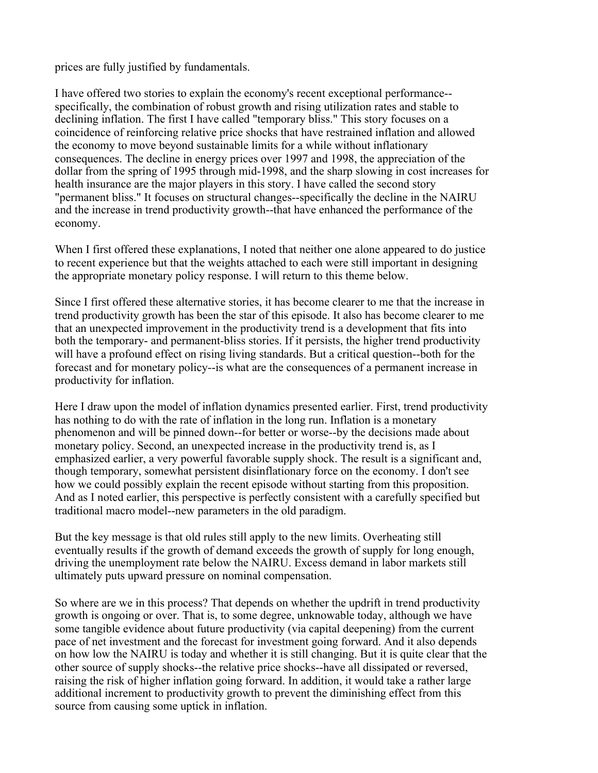prices are fully justified by fundamentals.

I have offered two stories to explain the economy's recent exceptional performance- specifically, the combination of robust growth and rising utilization rates and stable to declining inflation. The first I have called "temporary bliss." This story focuses on a coincidence of reinforcing relative price shocks that have restrained inflation and allowed the economy to move beyond sustainable limits for a while without inflationary consequences. The decline in energy prices over 1997 and 1998, the appreciation of the dollar from the spring of 1995 through mid-1998, and the sharp slowing in cost increases for health insurance are the major players in this story. I have called the second story "permanent bliss." It focuses on structural changes--specifically the decline in the NAIRU and the increase in trend productivity growth--that have enhanced the performance of the economy.

When I first offered these explanations, I noted that neither one alone appeared to do justice to recent experience but that the weights attached to each were still important in designing the appropriate monetary policy response. I will return to this theme below.

Since I first offered these alternative stories, it has become clearer to me that the increase in trend productivity growth has been the star of this episode. It also has become clearer to me that an unexpected improvement in the productivity trend is a development that fits into both the temporary- and permanent-bliss stories. If it persists, the higher trend productivity will have a profound effect on rising living standards. But a critical question--both for the forecast and for monetary policy--is what are the consequences of a permanent increase in productivity for inflation.

Here I draw upon the model of inflation dynamics presented earlier. First, trend productivity has nothing to do with the rate of inflation in the long run. Inflation is a monetary phenomenon and will be pinned down--for better or worse--by the decisions made about monetary policy. Second, an unexpected increase in the productivity trend is, as I emphasized earlier, a very powerful favorable supply shock. The result is a significant and, though temporary, somewhat persistent disinflationary force on the economy. I don't see how we could possibly explain the recent episode without starting from this proposition. And as I noted earlier, this perspective is perfectly consistent with a carefully specified but traditional macro model--new parameters in the old paradigm.

But the key message is that old rules still apply to the new limits. Overheating still eventually results if the growth of demand exceeds the growth of supply for long enough, driving the unemployment rate below the NAIRU. Excess demand in labor markets still ultimately puts upward pressure on nominal compensation.

So where are we in this process? That depends on whether the updrift in trend productivity growth is ongoing or over. That is, to some degree, unknowable today, although we have some tangible evidence about future productivity (via capital deepening) from the current pace of net investment and the forecast for investment going forward. And it also depends on how low the NAIRU is today and whether it is still changing. But it is quite clear that the other source of supply shocks--the relative price shocks--have all dissipated or reversed, raising the risk of higher inflation going forward. In addition, it would take a rather large additional increment to productivity growth to prevent the diminishing effect from this source from causing some uptick in inflation.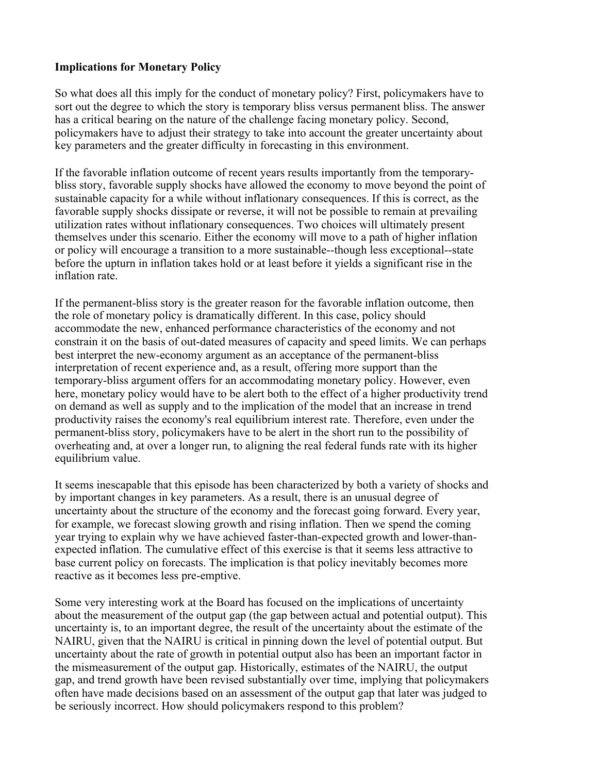## **Implications for Monetary Policy**

So what does all this imply for the conduct of monetary policy? First, policymakers have to sort out the degree to which the story is temporary bliss versus permanent bliss. The answer has a critical bearing on the nature of the challenge facing monetary policy. Second, policymakers have to adjust their strategy to take into account the greater uncertainty about key parameters and the greater difficulty in forecasting in this environment.

If the favorable inflation outcome of recent years results importantly from the temporarybliss story, favorable supply shocks have allowed the economy to move beyond the point of sustainable capacity for a while without inflationary consequences. If this is correct, as the favorable supply shocks dissipate or reverse, it will not be possible to remain at prevailing utilization rates without inflationary consequences. Two choices will ultimately present themselves under this scenario. Either the economy will move to a path of higher inflation or policy will encourage a transition to a more sustainable--though less exceptional--state before the upturn in inflation takes hold or at least before it yields a significant rise in the inflation rate.

If the permanent-bliss story is the greater reason for the favorable inflation outcome, then the role of monetary policy is dramatically different. In this case, policy should accommodate the new, enhanced performance characteristics of the economy and not constrain it on the basis of out-dated measures of capacity and speed limits. We can perhaps best interpret the new-economy argument as an acceptance of the permanent-bliss interpretation of recent experience and, as a result, offering more support than the temporary-bliss argument offers for an accommodating monetary policy. However, even here, monetary policy would have to be alert both to the effect of a higher productivity trend on demand as well as supply and to the implication of the model that an increase in trend productivity raises the economy's real equilibrium interest rate. Therefore, even under the permanent-bliss story, policymakers have to be alert in the short run to the possibility of overheating and, at over a longer run, to aligning the real federal funds rate with its higher equilibrium value.

It seems inescapable that this episode has been characterized by both a variety of shocks and by important changes in key parameters. As a result, there is an unusual degree of uncertainty about the structure of the economy and the forecast going forward. Every year, for example, we forecast slowing growth and rising inflation. Then we spend the coming year trying to explain why we have achieved faster-than-expected growth and lower-thanexpected inflation. The cumulative effect of this exercise is that it seems less attractive to base current policy on forecasts. The implication is that policy inevitably becomes more reactive as it becomes less pre-emptive.

Some very interesting work at the Board has focused on the implications of uncertainty about the measurement of the output gap (the gap between actual and potential output). This uncertainty is, to an important degree, the result of the uncertainty about the estimate of the NAIRU, given that the NAIRU is critical in pinning down the level of potential output. But uncertainty about the rate of growth in potential output also has been an important factor in the mismeasurement of the output gap. Historically, estimates of the NAIRU, the output gap, and trend growth have been revised substantially over time, implying that policymakers often have made decisions based on an assessment of the output gap that later was judged to be seriously incorrect. How should policymakers respond to this problem?